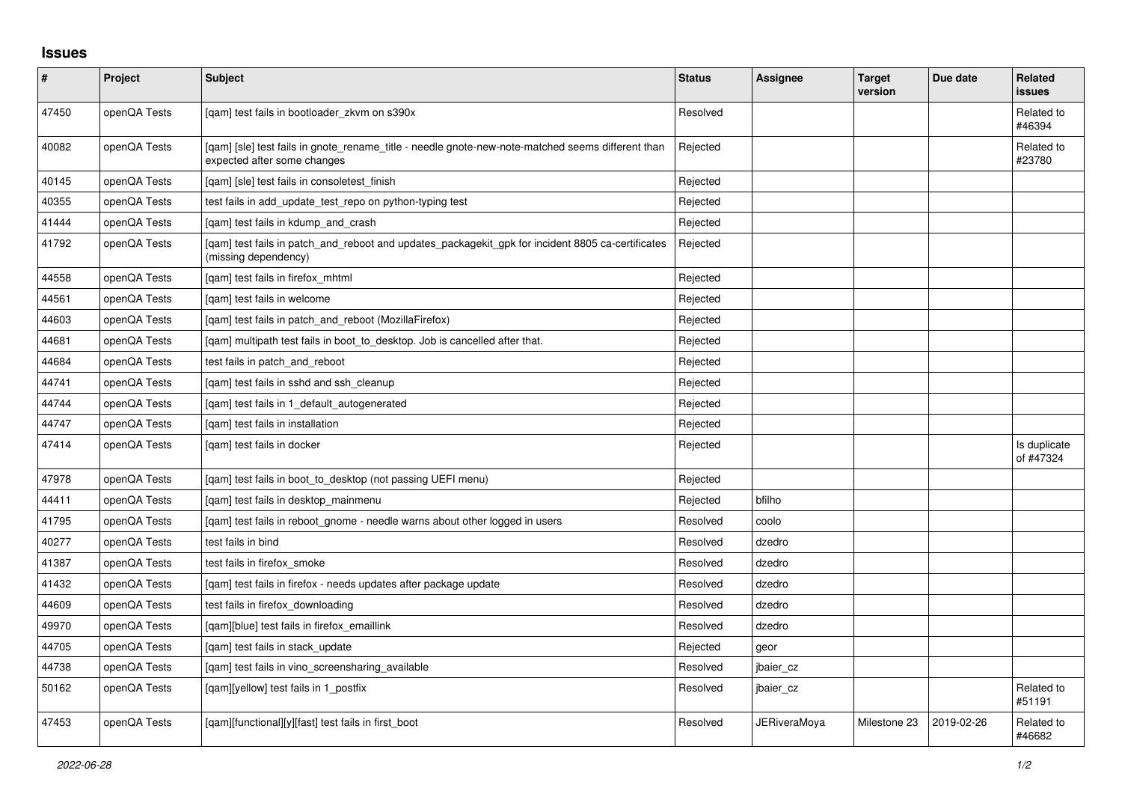## **Issues**

| #     | Project      | Subject                                                                                                                          | <b>Status</b> | Assignee            | <b>Target</b><br>version | Due date   | <b>Related</b><br><b>issues</b> |
|-------|--------------|----------------------------------------------------------------------------------------------------------------------------------|---------------|---------------------|--------------------------|------------|---------------------------------|
| 47450 | openQA Tests | [gam] test fails in bootloader zkvm on s390x                                                                                     | Resolved      |                     |                          |            | Related to<br>#46394            |
| 40082 | openQA Tests | [qam] [sle] test fails in gnote_rename_title - needle gnote-new-note-matched seems different than<br>expected after some changes | Rejected      |                     |                          |            | Related to<br>#23780            |
| 40145 | openQA Tests | [gam] [sle] test fails in consoletest finish                                                                                     | Rejected      |                     |                          |            |                                 |
| 40355 | openQA Tests | test fails in add_update_test_repo on python-typing test                                                                         | Rejected      |                     |                          |            |                                 |
| 41444 | openQA Tests | [gam] test fails in kdump and crash                                                                                              | Rejected      |                     |                          |            |                                 |
| 41792 | openQA Tests | [qam] test fails in patch_and_reboot and updates_packagekit_gpk for incident 8805 ca-certificates<br>(missing dependency)        | Rejected      |                     |                          |            |                                 |
| 44558 | openQA Tests | [gam] test fails in firefox mhtml                                                                                                | Rejected      |                     |                          |            |                                 |
| 44561 | openQA Tests | [gam] test fails in welcome                                                                                                      | Rejected      |                     |                          |            |                                 |
| 44603 | openQA Tests | [qam] test fails in patch_and_reboot (MozillaFirefox)                                                                            | Rejected      |                     |                          |            |                                 |
| 44681 | openQA Tests | [qam] multipath test fails in boot_to_desktop. Job is cancelled after that.                                                      | Rejected      |                     |                          |            |                                 |
| 44684 | openQA Tests | test fails in patch and reboot                                                                                                   | Rejected      |                     |                          |            |                                 |
| 44741 | openQA Tests | [qam] test fails in sshd and ssh_cleanup                                                                                         | Rejected      |                     |                          |            |                                 |
| 44744 | openQA Tests | [gam] test fails in 1 default autogenerated                                                                                      | Rejected      |                     |                          |            |                                 |
| 44747 | openQA Tests | [gam] test fails in installation                                                                                                 | Rejected      |                     |                          |            |                                 |
| 47414 | openQA Tests | [gam] test fails in docker                                                                                                       | Rejected      |                     |                          |            | Is duplicate<br>of #47324       |
| 47978 | openQA Tests | [gam] test fails in boot to desktop (not passing UEFI menu)                                                                      | Rejected      |                     |                          |            |                                 |
| 44411 | openQA Tests | [qam] test fails in desktop_mainmenu                                                                                             | Rejected      | bfilho              |                          |            |                                 |
| 41795 | openQA Tests | [gam] test fails in reboot gnome - needle warns about other logged in users                                                      | Resolved      | coolo               |                          |            |                                 |
| 40277 | openQA Tests | test fails in bind                                                                                                               | Resolved      | dzedro              |                          |            |                                 |
| 41387 | openQA Tests | test fails in firefox smoke                                                                                                      | Resolved      | dzedro              |                          |            |                                 |
| 41432 | openQA Tests | [qam] test fails in firefox - needs updates after package update                                                                 | Resolved      | dzedro              |                          |            |                                 |
| 44609 | openQA Tests | test fails in firefox downloading                                                                                                | Resolved      | dzedro              |                          |            |                                 |
| 49970 | openQA Tests | [gam][blue] test fails in firefox emaillink                                                                                      | Resolved      | dzedro              |                          |            |                                 |
| 44705 | openQA Tests | [qam] test fails in stack_update                                                                                                 | Rejected      | geor                |                          |            |                                 |
| 44738 | openQA Tests | [qam] test fails in vino_screensharing_available                                                                                 | Resolved      | jbaier_cz           |                          |            |                                 |
| 50162 | openQA Tests | [gam][yellow] test fails in 1 postfix                                                                                            | Resolved      | jbaier cz           |                          |            | Related to<br>#51191            |
| 47453 | openQA Tests | [qam][functional][y][fast] test fails in first_boot                                                                              | Resolved      | <b>JERiveraMoya</b> | Milestone 23             | 2019-02-26 | Related to<br>#46682            |